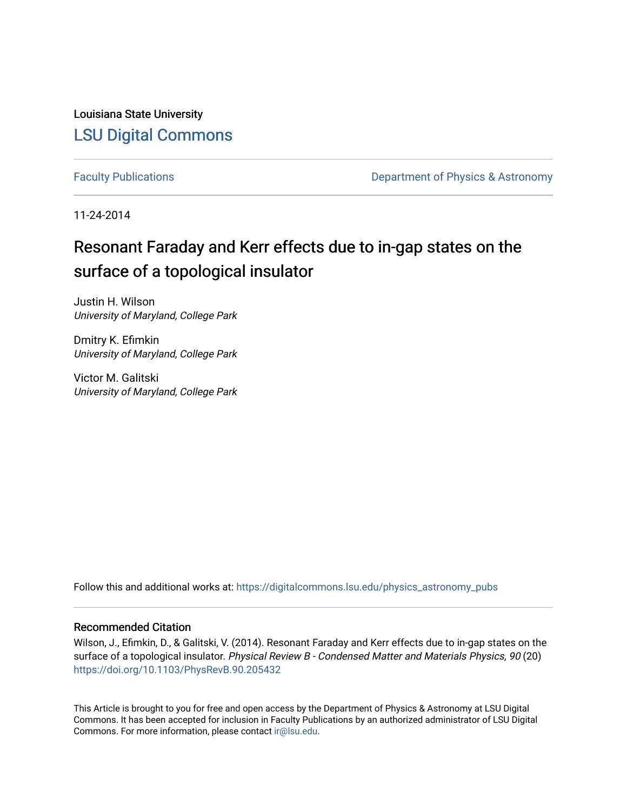Louisiana State University [LSU Digital Commons](https://digitalcommons.lsu.edu/)

[Faculty Publications](https://digitalcommons.lsu.edu/physics_astronomy_pubs) **Exercise 2 and Table 2 and Table 2 and Table 2 and Table 2 and Table 2 and Table 2 and Table 2 and Table 2 and Table 2 and Table 2 and Table 2 and Table 2 and Table 2 and Table 2 and Table 2 and Table** 

11-24-2014

## Resonant Faraday and Kerr effects due to in-gap states on the surface of a topological insulator

Justin H. Wilson University of Maryland, College Park

Dmitry K. Efimkin University of Maryland, College Park

Victor M. Galitski University of Maryland, College Park

Follow this and additional works at: [https://digitalcommons.lsu.edu/physics\\_astronomy\\_pubs](https://digitalcommons.lsu.edu/physics_astronomy_pubs?utm_source=digitalcommons.lsu.edu%2Fphysics_astronomy_pubs%2F5804&utm_medium=PDF&utm_campaign=PDFCoverPages) 

## Recommended Citation

Wilson, J., Efimkin, D., & Galitski, V. (2014). Resonant Faraday and Kerr effects due to in-gap states on the surface of a topological insulator. Physical Review B - Condensed Matter and Materials Physics, 90 (20) <https://doi.org/10.1103/PhysRevB.90.205432>

This Article is brought to you for free and open access by the Department of Physics & Astronomy at LSU Digital Commons. It has been accepted for inclusion in Faculty Publications by an authorized administrator of LSU Digital Commons. For more information, please contact [ir@lsu.edu](mailto:ir@lsu.edu).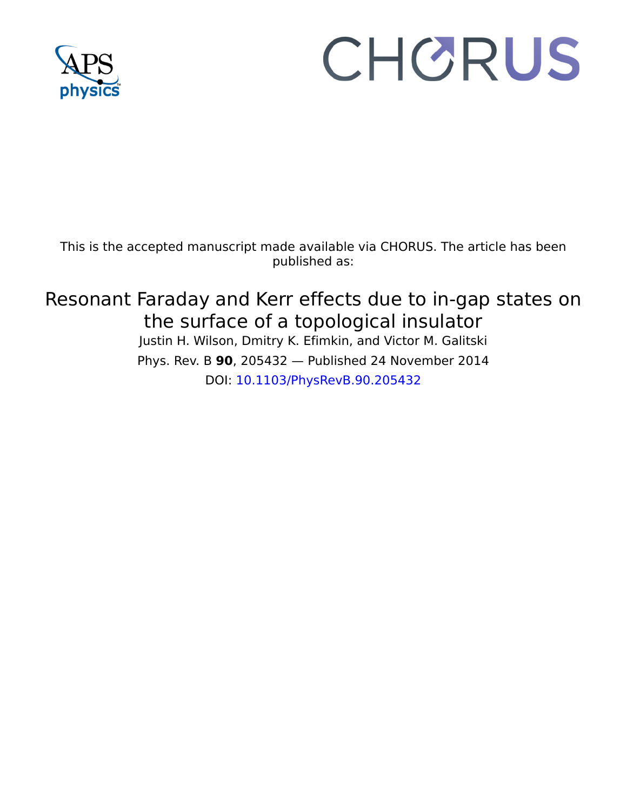

# CHORUS

This is the accepted manuscript made available via CHORUS. The article has been published as:

# Resonant Faraday and Kerr effects due to in-gap states on the surface of a topological insulator

Justin H. Wilson, Dmitry K. Efimkin, and Victor M. Galitski Phys. Rev. B **90**, 205432 — Published 24 November 2014 DOI: [10.1103/PhysRevB.90.205432](http://dx.doi.org/10.1103/PhysRevB.90.205432)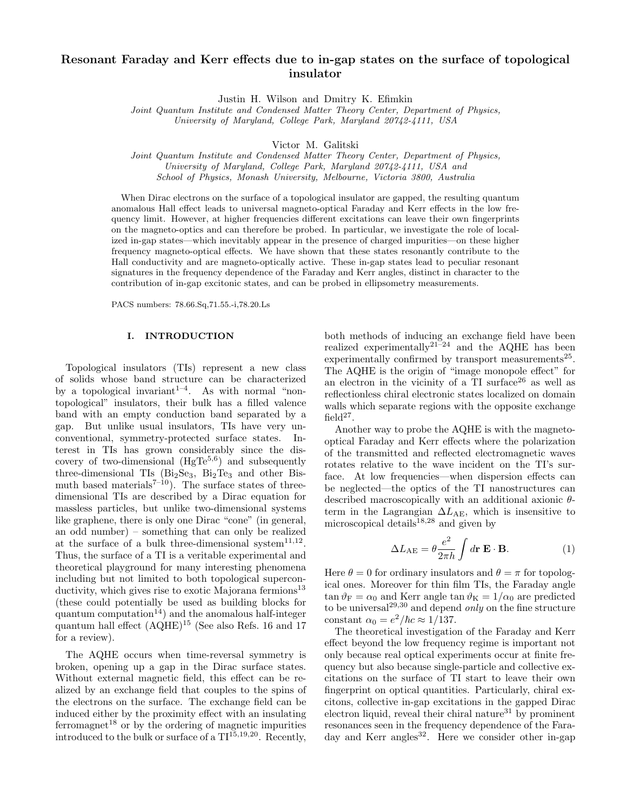## Resonant Faraday and Kerr effects due to in-gap states on the surface of topological insulator

Justin H. Wilson and Dmitry K. Efimkin

Joint Quantum Institute and Condensed Matter Theory Center, Department of Physics, University of Maryland, College Park, Maryland 20742-4111, USA

Victor M. Galitski

Joint Quantum Institute and Condensed Matter Theory Center, Department of Physics, University of Maryland, College Park, Maryland 20742-4111, USA and School of Physics, Monash University, Melbourne, Victoria 3800, Australia

When Dirac electrons on the surface of a topological insulator are gapped, the resulting quantum anomalous Hall effect leads to universal magneto-optical Faraday and Kerr effects in the low frequency limit. However, at higher frequencies different excitations can leave their own fingerprints on the magneto-optics and can therefore be probed. In particular, we investigate the role of localized in-gap states—which inevitably appear in the presence of charged impurities—on these higher frequency magneto-optical effects. We have shown that these states resonantly contribute to the Hall conductivity and are magneto-optically active. These in-gap states lead to peculiar resonant signatures in the frequency dependence of the Faraday and Kerr angles, distinct in character to the contribution of in-gap excitonic states, and can be probed in ellipsometry measurements.

PACS numbers: 78.66.Sq,71.55.-i,78.20.Ls

#### I. INTRODUCTION

Topological insulators (TIs) represent a new class of solids whose band structure can be characterized by a topological invariant<sup>1–4</sup>. As with normal "nontopological" insulators, their bulk has a filled valence band with an empty conduction band separated by a gap. But unlike usual insulators, TIs have very unconventional, symmetry-protected surface states. Interest in TIs has grown considerably since the discovery of two-dimensional  $(HgTe<sup>5,6</sup>)$  and subsequently three-dimensional TIs  $(Bi<sub>2</sub>Se<sub>3</sub>, Bi<sub>2</sub>Te<sub>3</sub>$  and other Bismuth based materials<sup> $7-10$ </sup>). The surface states of threedimensional TIs are described by a Dirac equation for massless particles, but unlike two-dimensional systems like graphene, there is only one Dirac "cone" (in general, an odd number) – something that can only be realized at the surface of a bulk three-dimensional system<sup>11,12</sup>. Thus, the surface of a TI is a veritable experimental and theoretical playground for many interesting phenomena including but not limited to both topological superconductivity, which gives rise to exotic Majorana fermions $^{13}$ (these could potentially be used as building blocks for quantum computation<sup>14</sup>) and the anomalous half-integer quantum hall effect (AQHE)<sup>15</sup> (See also Refs. 16 and 17 for a review).

The AQHE occurs when time-reversal symmetry is broken, opening up a gap in the Dirac surface states. Without external magnetic field, this effect can be realized by an exchange field that couples to the spins of the electrons on the surface. The exchange field can be induced either by the proximity effect with an insulating ferromagnet<sup>18</sup> or by the ordering of magnetic impurities introduced to the bulk or surface of a  $TI^{15,19,20}$ . Recently,

both methods of inducing an exchange field have been realized experimentally<sup>21–24</sup> and the AQHE has been experimentally confirmed by transport measurements<sup>25</sup>. The AQHE is the origin of "image monopole effect" for an electron in the vicinity of a  $TI$  surface<sup>26</sup> as well as reflectionless chiral electronic states localized on domain walls which separate regions with the opposite exchange field<sup>27</sup>.

Another way to probe the AQHE is with the magnetooptical Faraday and Kerr effects where the polarization of the transmitted and reflected electromagnetic waves rotates relative to the wave incident on the TI's surface. At low frequencies—when dispersion effects can be neglected—the optics of the TI nanostructures can described macroscopically with an additional axionic θterm in the Lagrangian  $\Delta L_{AE}$ , which is insensitive to microscopical details $18,28$  and given by

$$
\Delta L_{\text{AE}} = \theta \frac{e^2}{2\pi h} \int d\mathbf{r} \mathbf{E} \cdot \mathbf{B}.
$$
 (1)

Here  $\theta = 0$  for ordinary insulators and  $\theta = \pi$  for topological ones. Moreover for thin film TIs, the Faraday angle  $\tan \theta_F = \alpha_0$  and Kerr angle  $\tan \theta_K = 1/\alpha_0$  are predicted to be universal<sup>29,30</sup> and depend *only* on the fine structure constant  $\alpha_0 = e^2/\hbar c \approx 1/137$ .

The theoretical investigation of the Faraday and Kerr effect beyond the low frequency regime is important not only because real optical experiments occur at finite frequency but also because single-particle and collective excitations on the surface of TI start to leave their own fingerprint on optical quantities. Particularly, chiral excitons, collective in-gap excitations in the gapped Dirac electron liquid, reveal their chiral nature $31$  by prominent resonances seen in the frequency dependence of the Faraday and Kerr angles<sup>32</sup>. Here we consider other in-gap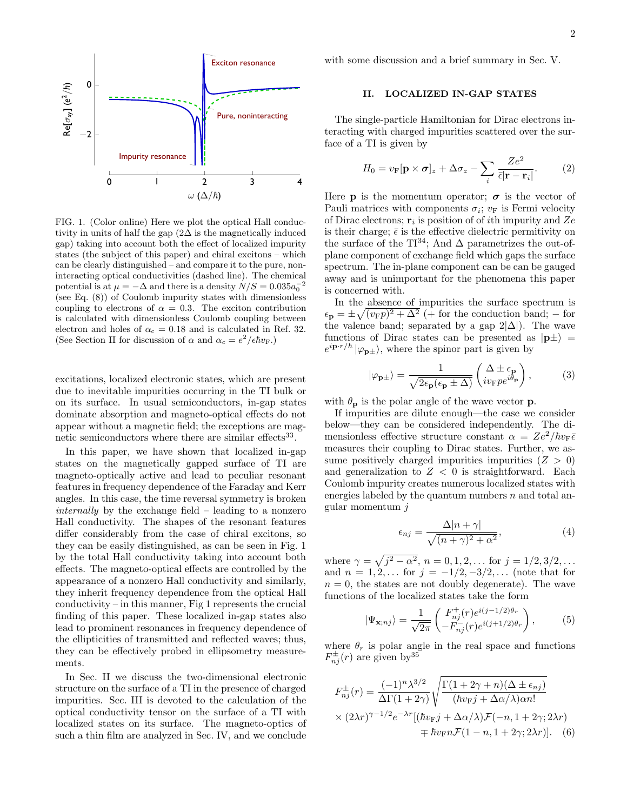

FIG. 1. (Color online) Here we plot the optical Hall conductivity in units of half the gap  $(2\Delta$  is the magnetically induced gap) taking into account both the effect of localized impurity states (the subject of this paper) and chiral excitons – which can be clearly distinguished – and compare it to the pure, noninteracting optical conductivities (dashed line). The chemical potential is at  $\mu = -\Delta$  and there is a density  $N/S = 0.035a_0^{-2}$ (see Eq. (8)) of Coulomb impurity states with dimensionless coupling to electrons of  $\alpha = 0.3$ . The exciton contribution is calculated with dimensionless Coulomb coupling between electron and holes of  $\alpha_c = 0.18$  and is calculated in Ref. 32. (See Section II for discussion of  $\alpha$  and  $\alpha_c = e^2/\epsilon \hbar v_F$ .)

excitations, localized electronic states, which are present due to inevitable impurities occurring in the TI bulk or on its surface. In usual semiconductors, in-gap states dominate absorption and magneto-optical effects do not appear without a magnetic field; the exceptions are magnetic semiconductors where there are similar effects<sup>33</sup>.

In this paper, we have shown that localized in-gap states on the magnetically gapped surface of TI are magneto-optically active and lead to peculiar resonant features in frequency dependence of the Faraday and Kerr angles. In this case, the time reversal symmetry is broken internally by the exchange field – leading to a nonzero Hall conductivity. The shapes of the resonant features differ considerably from the case of chiral excitons, so they can be easily distinguished, as can be seen in Fig. 1 by the total Hall conductivity taking into account both effects. The magneto-optical effects are controlled by the appearance of a nonzero Hall conductivity and similarly, they inherit frequency dependence from the optical Hall conductivity – in this manner, Fig 1 represents the crucial finding of this paper. These localized in-gap states also lead to prominent resonances in frequency dependence of the ellipticities of transmitted and reflected waves; thus, they can be effectively probed in ellipsometry measurements.

In Sec. II we discuss the two-dimensional electronic structure on the surface of a TI in the presence of charged impurities. Sec. III is devoted to the calculation of the optical conductivity tensor on the surface of a TI with localized states on its surface. The magneto-optics of such a thin film are analyzed in Sec. IV, and we conclude

with some discussion and a brief summary in Sec. V.

#### II. LOCALIZED IN-GAP STATES

The single-particle Hamiltonian for Dirac electrons interacting with charged impurities scattered over the surface of a TI is given by

$$
H_0 = v_{\rm F}[\mathbf{p} \times \boldsymbol{\sigma}]_z + \Delta \sigma_z - \sum_i \frac{Ze^2}{\bar{\epsilon}|\mathbf{r} - \mathbf{r}_i|}.
$$
 (2)

Here **p** is the momentum operator;  $\sigma$  is the vector of Pauli matrices with components  $\sigma_i$ ;  $v_F$  is Fermi velocity of Dirac electrons;  $\mathbf{r}_i$  is position of of *i*th impurity and Ze is their charge;  $\bar{\epsilon}$  is the effective dielectric permitivity on the surface of the TI<sup>34</sup>; And  $\Delta$  parametrizes the out-ofplane component of exchange field which gaps the surface spectrum. The in-plane component can be can be gauged away and is unimportant for the phenomena this paper is concerned with.

In the absence of impurities the surface spectrum is  $\epsilon_{\mathbf{p}} = \pm \sqrt{(v_{\mathrm{F}}p)^2 + \Delta^2}$  (+ for the conduction band; – for the valence band; separated by a gap  $2|\Delta|$ ). The wave functions of Dirac states can be presented as  $|\mathbf{p}\pm\rangle$  =  $e^{i\mathbf{p}\cdot r/\hbar}|\varphi_{\mathbf{p}\pm}\rangle$ , where the spinor part is given by

$$
|\varphi_{\mathbf{p}\pm}\rangle = \frac{1}{\sqrt{2\epsilon_{\mathbf{p}}(\epsilon_{\mathbf{p}}\pm\Delta)}} \begin{pmatrix} \Delta \pm \epsilon_{\mathbf{p}} \\ iv_{\mathrm{F}} p e^{i\theta_{\mathbf{p}}}\end{pmatrix},\tag{3}
$$

with  $\theta_{\bf p}$  is the polar angle of the wave vector **p**.

If impurities are dilute enough—the case we consider below—they can be considered independently. The dimensionless effective structure constant  $\alpha = Ze^2/\hbar v_{\rm F} \bar{\epsilon}$ measures their coupling to Dirac states. Further, we assume positively charged impurities impurities  $(Z > 0)$ and generalization to  $Z < 0$  is straightforward. Each Coulomb impurity creates numerous localized states with energies labeled by the quantum numbers  $n$  and total angular momentum j

$$
\epsilon_{nj} = \frac{\Delta |n + \gamma|}{\sqrt{(n + \gamma)^2 + \alpha^2}},\tag{4}
$$

where  $\gamma = \sqrt{j^2 - \alpha^2}$ ,  $n = 0, 1, 2, \dots$  for  $j = 1/2, 3/2, \dots$ and  $n = 1, 2, ...$  for  $j = -1/2, -3/2, ...$  (note that for  $n = 0$ , the states are not doubly degenerate). The wave functions of the localized states take the form

$$
|\Psi_{\mathbf{x};nj}\rangle = \frac{1}{\sqrt{2\pi}} \begin{pmatrix} F_{nj}^+(r)e^{i(j-1/2)\theta_r} \\ -F_{nj}^-(r)e^{i(j+1/2)\theta_r} \end{pmatrix},\tag{5}
$$

where  $\theta_r$  is polar angle in the real space and functions  $F_{nj}^{\pm}(r)$  are given by  $35$ 

$$
F_{nj}^{\pm}(r) = \frac{(-1)^n \lambda^{3/2}}{\Delta \Gamma(1+2\gamma)} \sqrt{\frac{\Gamma(1+2\gamma+n)(\Delta \pm \epsilon_{nj})}{(\hbar v_{\rm F} j + \Delta \alpha/\lambda) \alpha n!}}
$$
  
×  $(2\lambda r)^{\gamma-1/2} e^{-\lambda r} [(\hbar v_{\rm F} j + \Delta \alpha/\lambda) \mathcal{F}(-n, 1+2\gamma; 2\lambda r) + \hbar v_{\rm F} n \mathcal{F}(1-n, 1+2\gamma; 2\lambda r)].$  (6)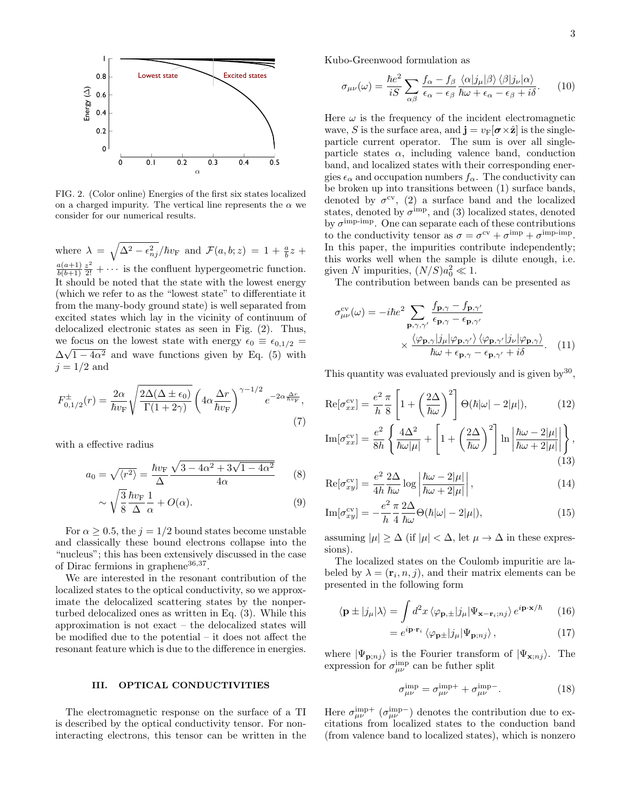

FIG. 2. (Color online) Energies of the first six states localized on a charged impurity. The vertical line represents the  $\alpha$  we consider for our numerical results.

where  $\lambda = \sqrt{\Delta^2 - \epsilon_{nj}^2}/\hbar v_F$  and  $\mathcal{F}(a, b; z) = 1 + \frac{a}{b}z + \frac{b}{c}$  $a(a+1)$  $\frac{a(a+1)}{b(b+1)}\frac{z^2}{2!} + \cdots$  is the confluent hypergeometric function. It should be noted that the state with the lowest energy (which we refer to as the "lowest state" to differentiate it from the many-body ground state) is well separated from excited states which lay in the vicinity of continuum of delocalized electronic states as seen in Fig. (2). Thus, we focus on the lowest state with energy  $\epsilon_0 \equiv \epsilon_{0,1/2}$  =  $\Delta\sqrt{1-4\alpha^2}$  and wave functions given by Eq. (5) with  $j = 1/2$  and

$$
F_{0,1/2}^{\pm}(r) = \frac{2\alpha}{\hbar v_{\rm F}} \sqrt{\frac{2\Delta(\Delta \pm \epsilon_0)}{\Gamma(1+2\gamma)}} \left(4\alpha \frac{\Delta r}{\hbar v_{\rm F}}\right)^{\gamma - 1/2} e^{-2\alpha \frac{\Delta r}{\hbar v_{\rm F}}},\tag{7}
$$

with a effective radius

$$
a_0 = \sqrt{\langle r^2 \rangle} = \frac{\hbar v_{\rm F}}{\Delta} \frac{\sqrt{3 - 4\alpha^2 + 3\sqrt{1 - 4\alpha^2}}}{4\alpha} \tag{8}
$$

$$
\sim \sqrt{\frac{3}{8}} \frac{\hbar v_{\rm F}}{\Delta} \frac{1}{\alpha} + O(\alpha). \tag{9}
$$

For  $\alpha \geq 0.5$ , the  $j = 1/2$  bound states become unstable and classically these bound electrons collapse into the "nucleus"; this has been extensively discussed in the case of Dirac fermions in graphene<sup>36,37</sup>.

We are interested in the resonant contribution of the localized states to the optical conductivity, so we approximate the delocalized scattering states by the nonperturbed delocalized ones as written in Eq. (3). While this approximation is not exact – the delocalized states will be modified due to the potential – it does not affect the resonant feature which is due to the difference in energies.

#### III. OPTICAL CONDUCTIVITIES

The electromagnetic response on the surface of a TI is described by the optical conductivity tensor. For noninteracting electrons, this tensor can be written in the Kubo-Greenwood formulation as

$$
\sigma_{\mu\nu}(\omega) = \frac{\hbar e^2}{iS} \sum_{\alpha\beta} \frac{f_{\alpha} - f_{\beta}}{\epsilon_{\alpha} - \epsilon_{\beta}} \frac{\langle \alpha | j_{\mu} | \beta \rangle \langle \beta | j_{\nu} | \alpha \rangle}{\hbar \omega + \epsilon_{\alpha} - \epsilon_{\beta} + i\delta}.
$$
 (10)

Here  $\omega$  is the frequency of the incident electromagnetic wave, S is the surface area, and  $\mathbf{j} = v_F[\boldsymbol{\sigma} \times \hat{\mathbf{z}}]$  is the singleparticle current operator. The sum is over all singleparticle states  $\alpha$ , including valence band, conduction band, and localized states with their corresponding energies  $\epsilon_{\alpha}$  and occupation numbers  $f_{\alpha}$ . The conductivity can be broken up into transitions between (1) surface bands, denoted by  $\sigma^{\rm cv}$ , (2) a surface band and the localized states, denoted by  $\sigma^{\text{imp}}$ , and (3) localized states, denoted by  $\sigma^{\text{imp-imp}}$ . One can separate each of these contributions to the conductivity tensor as  $\sigma = \sigma^{\text{cv}} + \sigma^{\text{imp}} + \sigma^{\text{imp-imp}}$ . In this paper, the impurities contribute independently; this works well when the sample is dilute enough, i.e. given N impurities,  $(N/S)a_0^2 \ll 1$ .

The contribution between bands can be presented as

$$
\sigma_{\mu\nu}^{\text{cv}}(\omega) = -i\hbar e^2 \sum_{\mathbf{p}, \gamma, \gamma'} \frac{f_{\mathbf{p}, \gamma} - f_{\mathbf{p}, \gamma'}}{\epsilon_{\mathbf{p}, \gamma} - \epsilon_{\mathbf{p}, \gamma'}}
$$

$$
\times \frac{\langle \varphi_{\mathbf{p}, \gamma} | j_{\mu} | \varphi_{\mathbf{p}, \gamma'} \rangle \langle \varphi_{\mathbf{p}, \gamma'} | j_{\nu} | \varphi_{\mathbf{p}, \gamma} \rangle}{\hbar \omega + \epsilon_{\mathbf{p}, \gamma} - \epsilon_{\mathbf{p}, \gamma'} + i\delta} . \quad (11)
$$

This quantity was evaluated previously and is given by  $30$ ,

$$
\operatorname{Re}[\sigma_{xx}^{\text{cv}}] = \frac{e^2}{h} \frac{\pi}{8} \left[ 1 + \left( \frac{2\Delta}{\hbar \omega} \right)^2 \right] \Theta(\hbar |\omega| - 2|\mu|), \tag{12}
$$

$$
\operatorname{Im}[\sigma_{xx}^{\text{cv}}] = \frac{e^2}{8h} \left\{ \frac{4\Delta^2}{\hbar\omega|\mu|} + \left[ 1 + \left(\frac{2\Delta}{\hbar\omega}\right)^2 \right] \ln \left| \frac{\hbar\omega - 2|\mu|}{\hbar\omega + 2|\mu|} \right| \right\},\tag{13}
$$

$$
\operatorname{Re}[\sigma_{xy}^{\text{cv}}] = \frac{e^2}{4h} \frac{2\Delta}{\hbar \omega} \log \left| \frac{\hbar \omega - 2|\mu|}{\hbar \omega + 2|\mu|} \right|,\tag{14}
$$

$$
\mathrm{Im}[\sigma_{xy}^{\mathrm{cv}}] = -\frac{e^2}{h} \frac{\pi}{4} \frac{2\Delta}{\hbar \omega} \Theta(\hbar |\omega| - 2|\mu|), \tag{15}
$$

assuming  $|\mu| \geq \Delta$  (if  $|\mu| < \Delta$ , let  $\mu \to \Delta$  in these expressions).

The localized states on the Coulomb impuritie are labeled by  $\lambda = (\mathbf{r}_i, n, j)$ , and their matrix elements can be presented in the following form

$$
\langle \mathbf{p} \pm |j_{\mu}|\lambda \rangle = \int d^2x \, \langle \varphi_{\mathbf{p},\pm} |j_{\mu}|\Psi_{\mathbf{x}-\mathbf{r}_i;nj} \rangle \, e^{i\mathbf{p}\cdot\mathbf{x}/\hbar} \qquad (16)
$$

$$
=e^{i\mathbf{p}\cdot\mathbf{r}_{i}}\left\langle \varphi_{\mathbf{p}\pm}|\dot{j}_{\mu}|\Psi_{\mathbf{p};nj}\right\rangle ,\qquad(17)
$$

where  $|\Psi_{\mathbf{p};nj}\rangle$  is the Fourier transform of  $|\Psi_{\mathbf{x};nj}\rangle$ . The expression for  $\sigma_{\mu\nu}^{\text{imp}}$  can be futher split

$$
\sigma_{\mu\nu}^{\text{imp}} = \sigma_{\mu\nu}^{\text{imp}+} + \sigma_{\mu\nu}^{\text{imp}-}.
$$
 (18)

Here  $\sigma_{\mu\nu}^{imp+}$  ( $\sigma_{\mu\nu}^{imp-}$ ) denotes the contribution due to excitations from localized states to the conduction band (from valence band to localized states), which is nonzero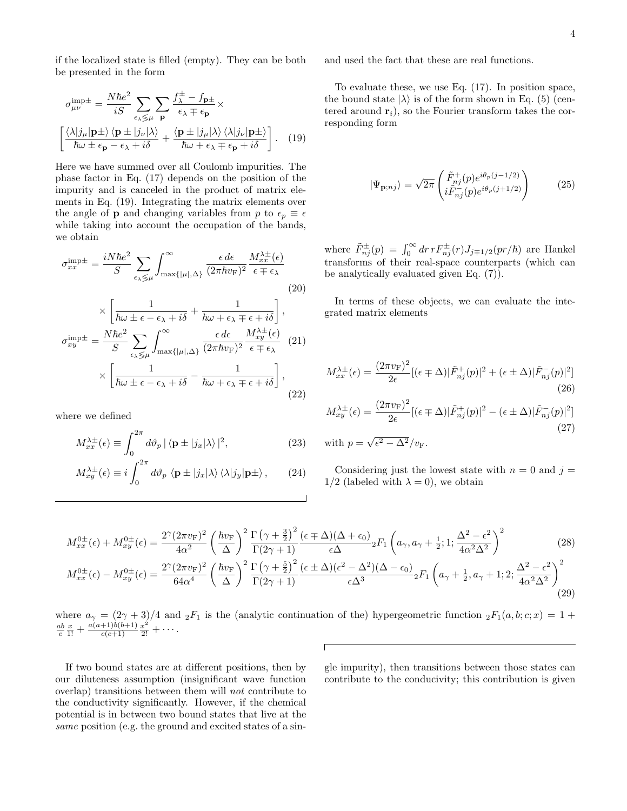if the localized state is filled (empty). They can be both be presented in the form

$$
\sigma_{\mu\nu}^{\text{imp}\pm} = \frac{N\hbar e^2}{iS} \sum_{\epsilon_{\lambda} \leq \mu} \sum_{\mathbf{p}} \frac{f_{\lambda}^{\pm} - f_{\mathbf{p}\pm}}{\epsilon_{\lambda} \mp \epsilon_{\mathbf{p}}} \times
$$
\n
$$
\left[ \frac{\langle \lambda | j_{\mu} | \mathbf{p} \pm \rangle \langle \mathbf{p} \pm | j_{\nu} | \lambda \rangle}{\hbar \omega \pm \epsilon_{\mathbf{p}} - \epsilon_{\lambda} + i\delta} + \frac{\langle \mathbf{p} \pm | j_{\mu} | \lambda \rangle \langle \lambda | j_{\nu} | \mathbf{p} \pm \rangle}{\hbar \omega + \epsilon_{\lambda} \mp \epsilon_{\mathbf{p}} + i\delta} \right]. \quad (19)
$$

Here we have summed over all Coulomb impurities. The phase factor in Eq. (17) depends on the position of the impurity and is canceled in the product of matrix elements in Eq. (19). Integrating the matrix elements over the angle of **p** and changing variables from p to  $\epsilon_p \equiv \epsilon$ while taking into account the occupation of the bands, we obtain

$$
\sigma_{xx}^{\text{imp}\pm} = \frac{iN\hbar e^2}{S} \sum_{\epsilon_{\lambda} \leq \mu} \int_{\max\{|\mu|,\Delta\}}^{\infty} \frac{\epsilon d\epsilon}{(2\pi\hbar v_{\text{F}})^2} \frac{M_{xx}^{\lambda \pm}(\epsilon)}{\epsilon \mp \epsilon_{\lambda}}
$$
\n
$$
\times \left[ \frac{1}{\hbar \omega \pm \epsilon - \epsilon_{\lambda} + i\delta} + \frac{1}{\hbar \omega + \epsilon_{\lambda} \mp \epsilon + i\delta} \right],
$$
\n(20)

$$
\times \left[ \overline{\hbar \omega \pm \epsilon - \epsilon_{\lambda} + i \delta} + \overline{\hbar \omega + \epsilon_{\lambda} \mp \epsilon + i \delta} \right],
$$
  

$$
\sigma_{xy}^{\text{imp}\pm} = \frac{N \hbar e^2}{S} \sum_{\epsilon_{\lambda} \leq \mu} \int_{\max\{|\mu|, \Delta\}}^{\infty} \frac{\epsilon \, d\epsilon}{(2\pi \hbar v_{\text{F}})^2} \frac{M_{xy}^{\lambda \pm}(\epsilon)}{\epsilon \mp \epsilon_{\lambda}} (21)
$$
  

$$
\times \left[ \frac{1}{\hbar \omega \pm \epsilon - \epsilon_{\lambda} + i \delta} - \frac{1}{\hbar \omega + \epsilon_{\lambda} \mp \epsilon + i \delta} \right],
$$
(22)

where we defined

$$
M_{xx}^{\lambda \pm}(\epsilon) \equiv \int_0^{2\pi} d\vartheta_p \, |\langle \mathbf{p} \pm |j_x| \lambda \rangle|^2, \tag{23}
$$

$$
M_{xy}^{\lambda \pm}(\epsilon) \equiv i \int_0^{2\pi} d\vartheta_p \langle \mathbf{p} \pm |j_x| \lambda \rangle \langle \lambda | j_y | \mathbf{p} \pm \rangle, \qquad (24)
$$

and used the fact that these are real functions.

To evaluate these, we use Eq. (17). In position space, the bound state  $|\lambda\rangle$  is of the form shown in Eq. (5) (centered around  $\mathbf{r}_i$ , so the Fourier transform takes the corresponding form

$$
|\Psi_{\mathbf{p};nj}\rangle = \sqrt{2\pi} \begin{pmatrix} \tilde{F}_{nj}^+(p)e^{i\theta_p(j-1/2)} \\ i\tilde{F}_{nj}^-(p)e^{i\theta_p(j+1/2)} \end{pmatrix}
$$
 (25)

where  $\tilde{F}_{nj}^{\pm}(p) = \int_0^\infty dr \, r F_{nj}^{\pm}(r) J_{j\mp 1/2}(pr/\hbar)$  are Hankel transforms of their real-space counterparts (which can be analytically evaluated given Eq. (7)).

In terms of these objects, we can evaluate the integrated matrix elements

$$
M_{xx}^{\lambda \pm}(\epsilon) = \frac{(2\pi v_{\rm F})^2}{2\epsilon} [(\epsilon \mp \Delta) | \tilde{F}_{nj}^+(p)|^2 + (\epsilon \pm \Delta) | \tilde{F}_{nj}^-(p)|^2]
$$
(26)

$$
M_{xy}^{\lambda \pm}(\epsilon) = \frac{(2\pi v_{\rm F})^2}{2\epsilon} [(\epsilon \mp \Delta) |\tilde{F}_{nj}^+(p)|^2 - (\epsilon \pm \Delta) |\tilde{F}_{nj}^-(p)|^2]
$$
  
(27)  
with  $p = \sqrt{\epsilon^2 - \Delta^2}/v_{\rm F}$ .

Considering just the lowest state with  $n = 0$  and  $j =$ 1/2 (labeled with  $\lambda = 0$ ), we obtain

$$
M_{xx}^{0\pm}(\epsilon) + M_{xy}^{0\pm}(\epsilon) = \frac{2^{\gamma} (2\pi v_{\rm F})^2}{4\alpha^2} \left(\frac{\hbar v_{\rm F}}{\Delta}\right)^2 \frac{\Gamma\left(\gamma + \frac{3}{2}\right)^2}{\Gamma(2\gamma + 1)} \frac{(\epsilon \mp \Delta)(\Delta + \epsilon_0)}{\epsilon \Delta} {}_2F_1\left(a_{\gamma}, a_{\gamma} + \frac{1}{2}; 1; \frac{\Delta^2 - \epsilon^2}{4\alpha^2 \Delta^2}\right)^2 \tag{28}
$$

$$
M_{xx}^{0\pm}(\epsilon) - M_{xy}^{0\pm}(\epsilon) = \frac{2^{\gamma} (2\pi v_{\rm F})^2}{64\alpha^4} \left(\frac{\hbar v_{\rm F}}{\Delta}\right)^2 \frac{\Gamma\left(\gamma + \frac{5}{2}\right)^2}{\Gamma(2\gamma + 1)} \frac{(\epsilon \pm \Delta)(\epsilon^2 - \Delta^2)(\Delta - \epsilon_0)}{\epsilon \Delta^3} {}_2F_1\left(a_{\gamma} + \frac{1}{2}, a_{\gamma} + 1; 2; \frac{\Delta^2 - \epsilon^2}{4\alpha^2 \Delta^2}\right)^2 \tag{29}
$$

where  $a_{\gamma} = (2\gamma + 3)/4$  and  ${}_2F_1$  is the (analytic continuation of the) hypergeometric function  ${}_2F_1(a, b; c; x) = 1 +$  $\frac{ab}{c}\frac{x}{1!} + \frac{a(a+1)b(b+1)}{c(c+1)}$  $\frac{(-1)b(b+1)}{c(c+1)}\frac{x^2}{2!}+\cdots$ 

If two bound states are at different positions, then by our diluteness assumption (insignificant wave function overlap) transitions between them will not contribute to the conductivity significantly. However, if the chemical potential is in between two bound states that live at the same position (e.g. the ground and excited states of a single impurity), then transitions between those states can contribute to the conducivity; this contribution is given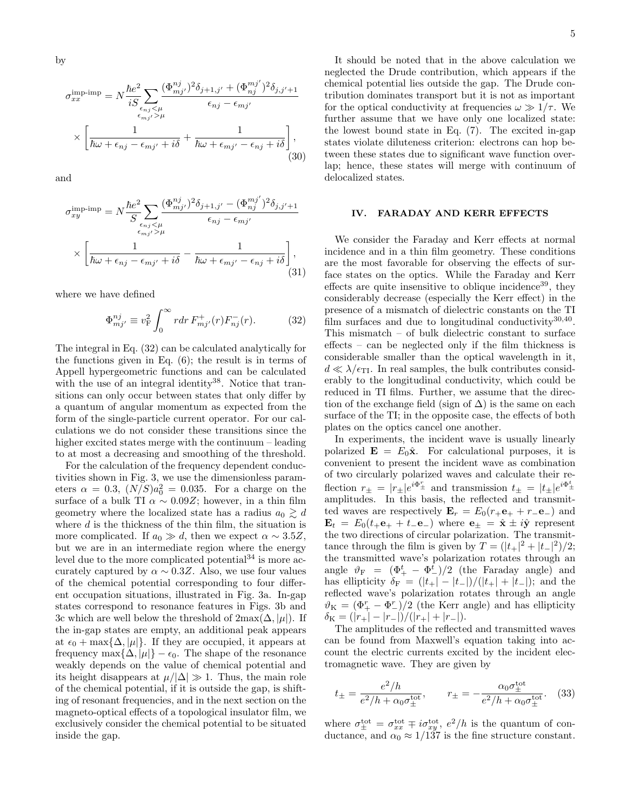by

$$
\sigma_{xx}^{\text{imp-imp}} = N \frac{\hbar e^2}{i S} \sum_{\epsilon_{nj} < \mu} \frac{(\Phi_{mj'}^{nj})^2 \delta_{j+1,j'} + (\Phi_{nj}^{mj'})^2 \delta_{j,j'+1}}{\epsilon_{nj} - \epsilon_{mj'}} \times \left[ \frac{1}{\hbar \omega + \epsilon_{nj} - \epsilon_{mj'} + i \delta} + \frac{1}{\hbar \omega + \epsilon_{mj'} - \epsilon_{nj} + i \delta} \right], \tag{30}
$$

and

$$
\sigma_{xy}^{\text{imp-imp}} = N \frac{\hbar e^2}{S} \sum_{\epsilon_{nj} < \mu} \frac{(\Phi_{mj'}^{nj})^2 \delta_{j+1,j'} - (\Phi_{nj}^{mj'})^2 \delta_{j,j'+1}}{\epsilon_{nj} - \epsilon_{mj'}} \times \left[ \frac{1}{\hbar \omega + \epsilon_{nj} - \epsilon_{mj'} + i\delta} - \frac{1}{\hbar \omega + \epsilon_{mj'} - \epsilon_{nj} + i\delta} \right], \tag{31}
$$

where we have defined

$$
\Phi_{mj'}^{nj} \equiv v_{\rm F}^2 \int_0^\infty r dr F_{mj'}^+(r) F_{nj}^-(r). \tag{32}
$$

The integral in Eq. (32) can be calculated analytically for the functions given in Eq. (6); the result is in terms of Appell hypergeometric functions and can be calculated with the use of an integral identity<sup>38</sup>. Notice that transitions can only occur between states that only differ by a quantum of angular momentum as expected from the form of the single-particle current operator. For our calculations we do not consider these transitions since the higher excited states merge with the continuum – leading to at most a decreasing and smoothing of the threshold.

For the calculation of the frequency dependent conductivities shown in Fig. 3, we use the dimensionless parameters  $\alpha = 0.3$ ,  $(N/S)a_0^2 = 0.035$ . For a charge on the surface of a bulk TI  $\alpha \sim 0.09Z$ ; however, in a thin film geometry where the localized state has a radius  $a_0 \gtrsim d$ where  $d$  is the thickness of the thin film, the situation is more complicated. If  $a_0 \gg d$ , then we expect  $\alpha \sim 3.5Z$ , but we are in an intermediate region where the energy level due to the more complicated potential<sup>34</sup> is more accurately captured by  $\alpha \sim 0.3Z$ . Also, we use four values of the chemical potential corresponding to four different occupation situations, illustrated in Fig. 3a. In-gap states correspond to resonance features in Figs. 3b and 3c which are well below the threshold of  $2\max(\Delta, |\mu|)$ . If the in-gap states are empty, an additional peak appears at  $\epsilon_0 + \max{\{\Delta, |\mu|\}}$ . If they are occupied, it appears at frequency max $\{\Delta, |\mu|\} - \epsilon_0$ . The shape of the resonance weakly depends on the value of chemical potential and its height disappears at  $\mu/|\Delta| \gg 1$ . Thus, the main role of the chemical potential, if it is outside the gap, is shifting of resonant frequencies, and in the next section on the magneto-optical effects of a topological insulator film, we exclusively consider the chemical potential to be situated inside the gap.

It should be noted that in the above calculation we neglected the Drude contribution, which appears if the chemical potential lies outside the gap. The Drude contribution dominates transport but it is not as important for the optical conductivity at frequencies  $\omega \gg 1/\tau$ . We further assume that we have only one localized state: the lowest bound state in Eq. (7). The excited in-gap states violate diluteness criterion: electrons can hop between these states due to significant wave function overlap; hence, these states will merge with continuum of delocalized states.

#### IV. FARADAY AND KERR EFFECTS

We consider the Faraday and Kerr effects at normal incidence and in a thin film geometry. These conditions are the most favorable for observing the effects of surface states on the optics. While the Faraday and Kerr effects are quite insensitive to oblique incidence<sup>39</sup>, they considerably decrease (especially the Kerr effect) in the presence of a mismatch of dielectric constants on the TI film surfaces and due to longitudinal conductivity<sup>30,40</sup>. This mismatch – of bulk dielectric constant to surface effects – can be neglected only if the film thickness is considerable smaller than the optical wavelength in it,  $d \ll \lambda/\epsilon_{\rm TI}$ . In real samples, the bulk contributes considerably to the longitudinal conductivity, which could be reduced in TI films. Further, we assume that the direction of the exchange field (sign of  $\Delta$ ) is the same on each surface of the TI; in the opposite case, the effects of both plates on the optics cancel one another.

In experiments, the incident wave is usually linearly polarized  $\mathbf{E} = E_0 \hat{\mathbf{x}}$ . For calculational purposes, it is convenient to present the incident wave as combination of two circularly polarized waves and calculate their reflection  $r_{\pm} = |r_{\pm}|e^{i\Phi_{\pm}^{r}}$  and transmission  $t_{\pm} = |t_{\pm}|e^{i\Phi_{\pm}^{t}}$ amplitudes. In this basis, the reflected and transmitted waves are respectively  $\mathbf{E}_r = E_0(r_+ \mathbf{e}_+ + r_- \mathbf{e}_-)$  and  $\mathbf{E}_t = E_0(t_+ \mathbf{e}_+ + t_- \mathbf{e}_-)$  where  $\mathbf{e}_\pm = \hat{\mathbf{x}} \pm i\hat{\mathbf{y}}$  represent the two directions of circular polarization. The transmittance through the film is given by  $T = (|t_+|^2 + |t_-|^2)/2$ ; the transmitted wave's polarization rotates through an angle  $\vartheta_{\rm F} = (\Phi_+^t - \Phi_-^t)/2$  (the Faraday angle) and has ellipticity  $\delta_F = (|t_+| - |t_-|)/(|t_+| + |t_-|);$  and the reflected wave's polarization rotates through an angle  $\vartheta_K = (\Phi^r + \Phi^r)/2$  (the Kerr angle) and has ellipticity  $\delta_{\rm K} = (|r_+| - |r_-|)/(|r_+| + |r_-|).$ 

The amplitudes of the reflected and transmitted waves can be found from Maxwell's equation taking into account the electric currents excited by the incident electromagnetic wave. They are given by

$$
t_{\pm} = \frac{e^2/h}{e^2/h + \alpha_0 \sigma_{\pm}^{\text{tot}}}, \qquad r_{\pm} = -\frac{\alpha_0 \sigma_{\pm}^{\text{tot}}}{e^2/h + \alpha_0 \sigma_{\pm}^{\text{tot}}}.
$$
 (33)

where  $\sigma_{\pm}^{\text{tot}} = \sigma_{xx}^{\text{tot}} \mp i \sigma_{xy}^{\text{tot}}, e^2/h$  is the quantum of conductance, and  $\alpha_0 \approx 1/137$  is the fine structure constant.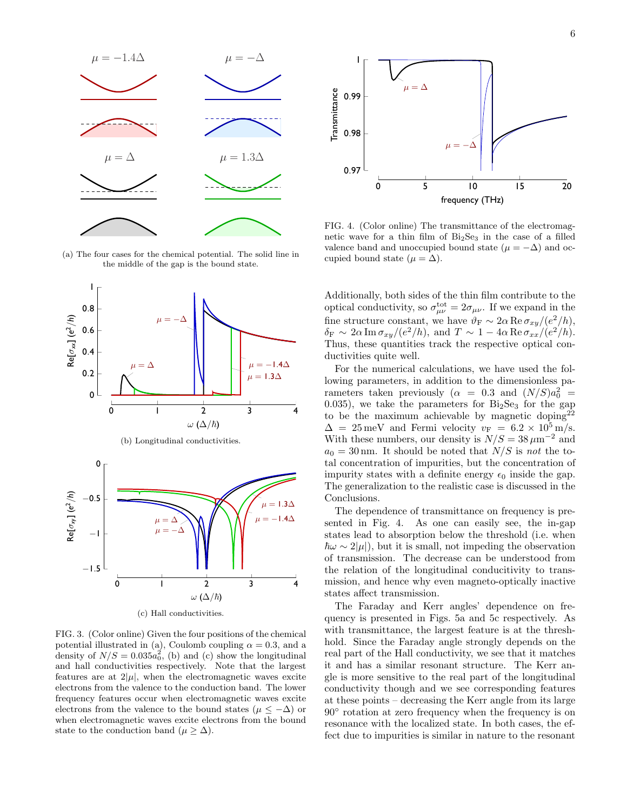

(a) The four cases for the chemical potential. The solid line in the middle of the gap is the bound state.



FIG. 3. (Color online) Given the four positions of the chemical potential illustrated in (a), Coulomb coupling  $\alpha = 0.3$ , and a density of  $N/S = 0.035a_0^2$ , (b) and (c) show the longitudinal and hall conductivities respectively. Note that the largest features are at  $2|\mu|$ , when the electromagnetic waves excite electrons from the valence to the conduction band. The lower frequency features occur when electromagnetic waves excite electrons from the valence to the bound states ( $\mu \leq -\Delta$ ) or when electromagnetic waves excite electrons from the bound state to the conduction band ( $\mu \geq \Delta$ ).



FIG. 4. (Color online) The transmittance of the electromagnetic wave for a thin film of  $Bi<sub>2</sub>Se<sub>3</sub>$  in the case of a filled valence band and unoccupied bound state ( $\mu = -\Delta$ ) and occupied bound state ( $\mu = \Delta$ ).

Additionally, both sides of the thin film contribute to the optical conductivity, so  $\sigma_{\mu\nu}^{\text{tot}} = 2\sigma_{\mu\nu}$ . If we expand in the fine structure constant, we have  $\vartheta_F \sim 2\alpha \operatorname{Re} \sigma_{xy}/(e^2/h)$ ,  $\delta_F \sim 2\alpha \operatorname{Im} \sigma_{xy}/(e^2/h)$ , and  $T \sim 1 - 4\alpha \operatorname{Re} \sigma_{xx}/(e^2/h)$ . Thus, these quantities track the respective optical conductivities quite well.

For the numerical calculations, we have used the following parameters, in addition to the dimensionless parameters taken previously ( $\alpha = 0.3$  and  $(N/S)a_0^2$  = 0.035), we take the parameters for  $Bi<sub>2</sub>Se<sub>3</sub>$  for the gap to be the maximum achievable by magnetic doping<sup>22</sup>  $\Delta = 25 \,\text{meV}$  and Fermi velocity  $v_F = 6.2 \times 10^5 \,\text{m/s}.$ With these numbers, our density is  $N/S = 38 \,\mu m^{-2}$  and  $a_0 = 30 \text{ nm}$ . It should be noted that  $N/S$  is not the total concentration of impurities, but the concentration of impurity states with a definite energy  $\epsilon_0$  inside the gap. The generalization to the realistic case is discussed in the Conclusions.

The dependence of transmittance on frequency is presented in Fig. 4. As one can easily see, the in-gap states lead to absorption below the threshold (i.e. when  $\hbar\omega \sim 2|\mu|$ , but it is small, not impeding the observation of transmission. The decrease can be understood from the relation of the longitudinal conducitivity to transmission, and hence why even magneto-optically inactive states affect transmission.

The Faraday and Kerr angles' dependence on frequency is presented in Figs. 5a and 5c respectively. As with transmittance, the largest feature is at the threshhold. Since the Faraday angle strongly depends on the real part of the Hall conductivity, we see that it matches it and has a similar resonant structure. The Kerr angle is more sensitive to the real part of the longitudinal conductivity though and we see corresponding features at these points – decreasing the Kerr angle from its large 90◦ rotation at zero frequency when the frequency is on resonance with the localized state. In both cases, the effect due to impurities is similar in nature to the resonant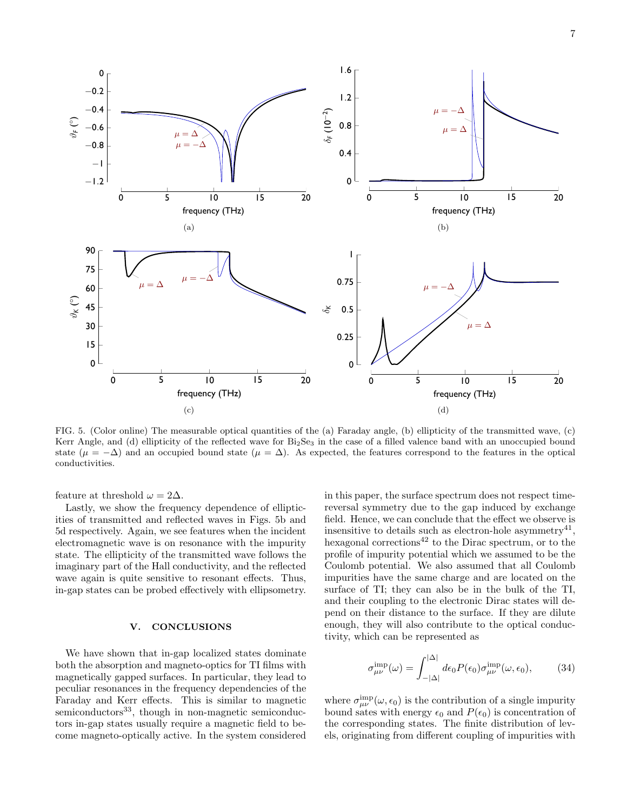

FIG. 5. (Color online) The measurable optical quantities of the (a) Faraday angle, (b) ellipticity of the transmitted wave, (c) Kerr Angle, and (d) ellipticity of the reflected wave for Bi<sub>2</sub>Se<sub>3</sub> in the case of a filled valence band with an unoccupied bound state ( $\mu = -\Delta$ ) and an occupied bound state ( $\mu = \Delta$ ). As expected, the features correspond to the features in the optical conductivities.

feature at threshold  $\omega = 2\Delta$ .

Lastly, we show the frequency dependence of ellipticities of transmitted and reflected waves in Figs. 5b and 5d respectively. Again, we see features when the incident electromagnetic wave is on resonance with the impurity state. The ellipticity of the transmitted wave follows the imaginary part of the Hall conductivity, and the reflected wave again is quite sensitive to resonant effects. Thus, in-gap states can be probed effectively with ellipsometry.

#### V. CONCLUSIONS

We have shown that in-gap localized states dominate both the absorption and magneto-optics for TI films with magnetically gapped surfaces. In particular, they lead to peculiar resonances in the frequency dependencies of the Faraday and Kerr effects. This is similar to magnetic  $semiconductors<sup>33</sup>$ , though in non-magnetic semiconductors in-gap states usually require a magnetic field to become magneto-optically active. In the system considered in this paper, the surface spectrum does not respect timereversal symmetry due to the gap induced by exchange field. Hence, we can conclude that the effect we observe is insensitive to details such as electron-hole asymmetry<sup>41</sup>, hexagonal corrections<sup>42</sup> to the Dirac spectrum, or to the profile of impurity potential which we assumed to be the Coulomb potential. We also assumed that all Coulomb impurities have the same charge and are located on the surface of TI; they can also be in the bulk of the TI, and their coupling to the electronic Dirac states will depend on their distance to the surface. If they are dilute enough, they will also contribute to the optical conductivity, which can be represented as

$$
\sigma_{\mu\nu}^{\text{imp}}(\omega) = \int_{-|\Delta|}^{|\Delta|} d\epsilon_0 P(\epsilon_0) \sigma_{\mu\nu}^{\text{imp}}(\omega, \epsilon_0), \quad (34)
$$

where  $\sigma_{\mu\nu}^{\text{imp}}(\omega,\epsilon_0)$  is the contribution of a single impurity bound sates with energy  $\epsilon_0$  and  $P(\epsilon_0)$  is concentration of the corresponding states. The finite distribution of levels, originating from different coupling of impurities with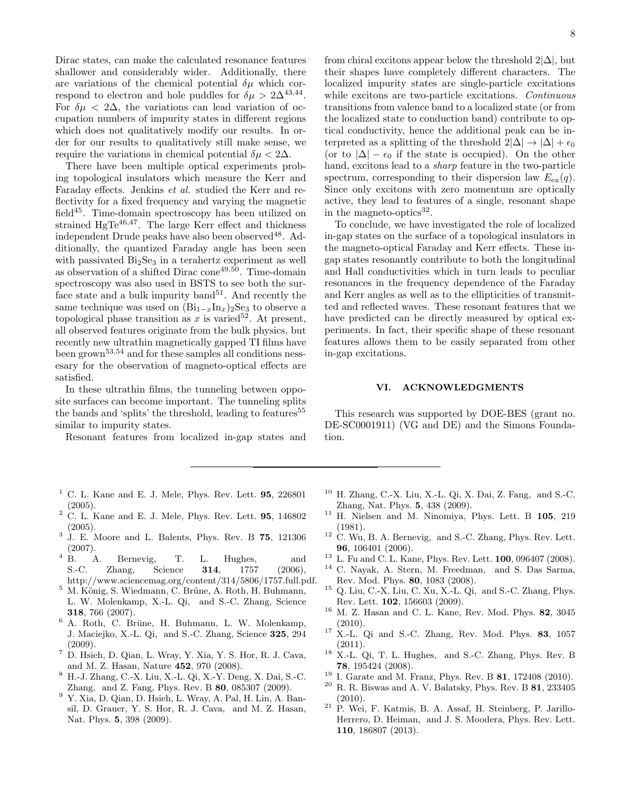Dirac states, can make the calculated resonance features shallower and considerably wider. Additionally, there are variations of the chemical potential  $\delta \mu$  which correspond to electron and hole puddles for  $\delta \mu > 2\Delta^{43,44}$ . For  $\delta \mu < 2\Delta$ , the variations can lead variation of occupation numbers of impurity states in different regions which does not qualitatively modify our results. In order for our results to qualitatively still make sense, we require the variations in chemical potential  $\delta \mu < 2\Delta$ .

There have been multiple optical experiments probing topological insulators which measure the Kerr and Faraday effects. Jenkins et al. studied the Kerr and reflectivity for a fixed frequency and varying the magnetic field45. Time-domain spectroscopy has been utilized on strained HgTe $^{46,47}$ . The large Kerr effect and thickness independent Drude peaks have also been observed $^{48}$ . Additionally, the quantized Faraday angle has been seen with passivated  $Bi<sub>2</sub>Se<sub>3</sub>$  in a terahertz experiment as well as observation of a shifted Dirac cone<sup>49,50</sup>. Time-domain spectroscopy was also used in BSTS to see both the surface state and a bulk impurity band<sup>51</sup>. And recently the same technique was used on  $(\text{Bi}_{1-x}\text{In}_x)_2\text{Se}_3$  to observe a topological phase transition as x is varied<sup>52</sup>. At present, all observed features originate from the bulk physics, but recently new ultrathin magnetically gapped TI films have been grown53,54 and for these samples all conditions nessesary for the observation of magneto-optical effects are satisfied.

In these ultrathin films, the tunneling between opposite surfaces can become important. The tunneling splits the bands and 'splits' the threshold, leading to features<sup>55</sup> similar to impurity states.

Resonant features from localized in-gap states and

- $<sup>1</sup>$  C. L. Kane and E. J. Mele, Phys. Rev. Lett. 95, 226801</sup> (2005).
- $2$  C. L. Kane and E. J. Mele, Phys. Rev. Lett.  $95$ , 146802  $(2005).$
- <sup>3</sup> J. E. Moore and L. Balents, Phys. Rev. B 75, 121306  $(2007).$ <sup>4</sup> B.
- A. Bernevig, T. L. Hughes, and S.-C. Zhang, Science 314, 1757 (2006), http://www.sciencemag.org/content/314/5806/1757.full.pdf.
- $5$  M. König, S. Wiedmann, C. Brüne, A. Roth, H. Buhmann, L. W. Molenkamp, X.-L. Qi, and S.-C. Zhang, Science 318, 766 (2007).
- <sup>6</sup> A. Roth, C. Brüne, H. Buhmann, L. W. Molenkamp, J. Maciejko, X.-L. Qi, and S.-C. Zhang, Science 325, 294  $(2009).$
- <sup>7</sup> D. Hsieh, D. Qian, L. Wray, Y. Xia, Y. S. Hor, R. J. Cava, and M. Z. Hasan, Nature 452, 970 (2008).
- <sup>8</sup> H.-J. Zhang, C.-X. Liu, X.-L. Qi, X.-Y. Deng, X. Dai, S.-C. Zhang, and Z. Fang, Phys. Rev. B 80, 085307 (2009).
- <sup>9</sup> Y. Xia, D. Qian, D. Hsieh, L. Wray, A. Pal, H. Lin, A. Bansil, D. Grauer, Y. S. Hor, R. J. Cava, and M. Z. Hasan, Nat. Phys. 5, 398 (2009).

from chiral excitons appear below the threshold  $2|\Delta|$ , but their shapes have completely different characters. The localized impurity states are single-particle excitations while excitons are two-particle excitations. Continuous transitions from valence band to a localized state (or from the localized state to conduction band) contribute to optical conductivity, hence the additional peak can be interpreted as a splitting of the threshold  $2|\Delta| \rightarrow |\Delta| + \epsilon_0$ (or to  $|\Delta| - \epsilon_0$  if the state is occupied). On the other hand, excitons lead to a sharp feature in the two-particle spectrum, corresponding to their dispersion law  $E_{ex}(q)$ . Since only excitons with zero momentum are optically active, they lead to features of a single, resonant shape in the magneto-optics $32$ .

To conclude, we have investigated the role of localized in-gap states on the surface of a topological insulators in the magneto-optical Faraday and Kerr effects. These ingap states resonantly contribute to both the longitudinal and Hall conductivities which in turn leads to peculiar resonances in the frequency dependence of the Faraday and Kerr angles as well as to the ellipticities of transmitted and reflected waves. These resonant features that we have predicted can be directly measured by optical experiments. In fact, their specific shape of these resonant features allows them to be easily separated from other in-gap excitations.

#### VI. ACKNOWLEDGMENTS

This research was supported by DOE-BES (grant no. DE-SC0001911) (VG and DE) and the Simons Foundation.

- <sup>10</sup> H. Zhang, C.-X. Liu, X.-L. Qi, X. Dai, Z. Fang, and S.-C. Zhang, Nat. Phys. 5, 438 (2009).
- <sup>11</sup> H. Nielsen and M. Ninomiya, Phys. Lett. B 105, 219 (1981).
- $12$  C. Wu, B. A. Bernevig, and S.-C. Zhang, Phys. Rev. Lett. 96, 106401 (2006).
- $13$  L. Fu and C. L. Kane, Phys. Rev. Lett. **100**, 096407 (2008).
- <sup>14</sup> C. Nayak, A. Stern, M. Freedman, and S. Das Sarma, Rev. Mod. Phys. 80, 1083 (2008).
- <sup>15</sup> Q. Liu, C.-X. Liu, C. Xu, X.-L. Qi, and S.-C. Zhang, Phys. Rev. Lett. 102, 156603 (2009).
- <sup>16</sup> M. Z. Hasan and C. L. Kane, Rev. Mod. Phys. 82, 3045 (2010).
- $17$  X.-L. Qi and S.-C. Zhang, Rev. Mod. Phys. 83, 1057 (2011).
- $^{18}$  X.-L. Qi, T. L. Hughes, and S.-C. Zhang, Phys. Rev. B 78, 195424 (2008).
- <sup>19</sup> I. Garate and M. Franz, Phys. Rev. B **81**, 172408 (2010).<br><sup>20</sup> B B Bismas and A V Balately: Bhys. Boy. B **81**, 222405
- R. R. Biswas and A. V. Balatsky, Phys. Rev. B 81, 233405 (2010).
- <sup>21</sup> P. Wei, F. Katmis, B. A. Assaf, H. Steinberg, P. Jarillo-Herrero, D. Heiman, and J. S. Moodera, Phys. Rev. Lett. 110, 186807 (2013).